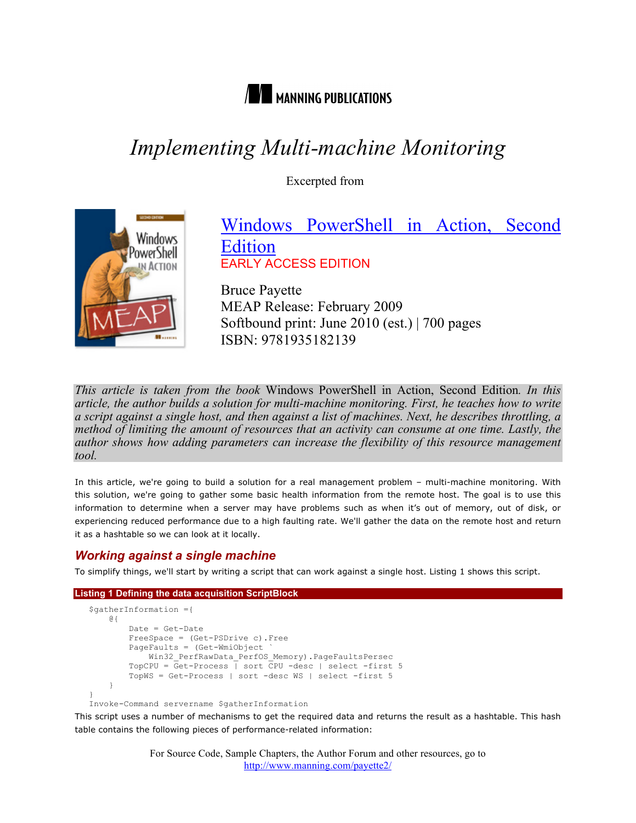

# *Implementing Multi-machine Monitoring*

Excerpted from



## Windows PowerShell in Action, Second Edition EARLY ACCESS EDITION

Bruce Payette MEAP Release: February 2009 Softbound print: June 2010 (est.) | 700 pages ISBN: 9781935182139

*This article is taken from the book* Windows PowerShell in Action, Second Edition*. In this article, the author builds a solution for multi-machine monitoring. First, he teaches how to write a script against a single host, and then against a list of machines. Next, he describes throttling, a method of limiting the amount of resources that an activity can consume at one time. Lastly, the author shows how adding parameters can increase the flexibility of this resource management tool.*

In this article, we're going to build a solution for a real management problem – multi-machine monitoring. With this solution, we're going to gather some basic health information from the remote host. The goal is to use this information to determine when a server may have problems such as when it's out of memory, out of disk, or experiencing reduced performance due to a high faulting rate. We'll gather the data on the remote host and return it as a hashtable so we can look at it locally.

### *Working against a single machine*

To simplify things, we'll start by writing a script that can work against a single host. Listing 1 shows this script.

#### **Listing 1 Defining the data acquisition ScriptBlock**

```
$gatherInformation ={
     @{
         Date = Get-Date
         FreeSpace = (Get-PSDrive c).Free
         PageFaults = (Get-WmiObject `
             Win32_PerfRawData_PerfOS_Memory).PageFaultsPersec
         TopCPU = Get-Process | sort CPU -desc | select -first 5
         TopWS = Get-Process | sort -desc WS | select -first 5
 }
}
```
Invoke-Command servername \$gatherInformation

This script uses a number of mechanisms to get the required data and returns the result as a hashtable. This hash table contains the following pieces of performance-related information:

> For Source Code, Sample Chapters, the Author Forum and other resources, go to http://www.manning.com/payette2/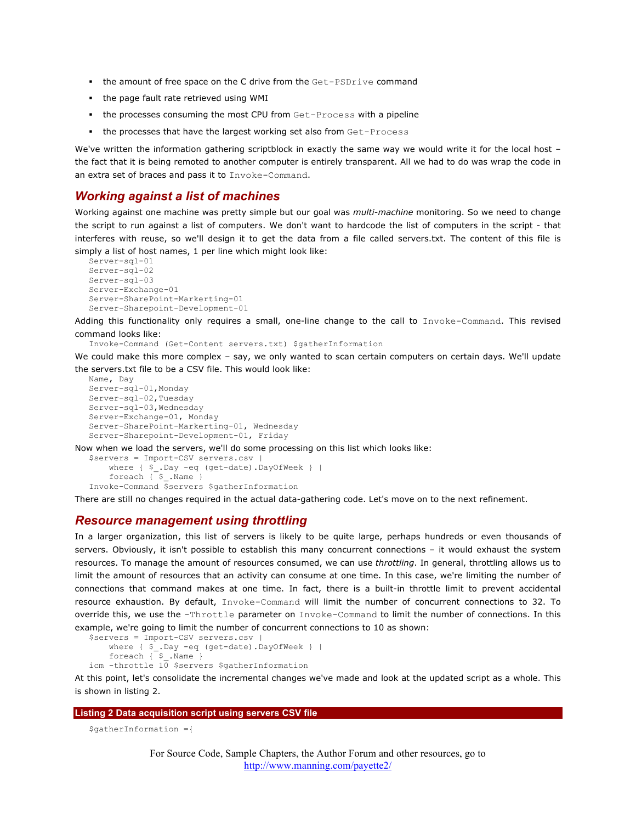- the amount of free space on the C drive from the Get-PSDrive command
- the page fault rate retrieved using WMI
- the processes consuming the most CPU from Get-Process with a pipeline
- the processes that have the largest working set also from Get-Process

We've written the information gathering scriptblock in exactly the same way we would write it for the local host the fact that it is being remoted to another computer is entirely transparent. All we had to do was wrap the code in an extra set of braces and pass it to Invoke-Command.

#### *Working against a list of machines*

Working against one machine was pretty simple but our goal was *multi-machine* monitoring. So we need to change the script to run against a list of computers. We don't want to hardcode the list of computers in the script - that interferes with reuse, so we'll design it to get the data from a file called servers.txt. The content of this file is simply a list of host names, 1 per line which might look like:

```
Server-sql-01
Server-sql-02
Server-sql-03
Server-Exchange-01
Server-SharePoint-Markerting-01
Server-Sharepoint-Development-01
```
Adding this functionality only requires a small, one-line change to the call to Invoke-Command. This revised command looks like:

Invoke-Command (Get-Content servers.txt) \$gatherInformation

We could make this more complex - say, we only wanted to scan certain computers on certain days. We'll update the servers.txt file to be a CSV file. This would look like:

```
Name, Day
Server-sql-01,Monday
Server-sql-02,Tuesday
Server-sql-03,Wednesday
Server-Exchange-01, Monday
Server-SharePoint-Markerting-01, Wednesday
Server-Sharepoint-Development-01, Friday
```
Now when we load the servers, we'll do some processing on this list which looks like:

```
$servers = Import-CSV servers.csv |
     where { $_.Day -eq (get-date).DayOfWeek } |
    foreach \{\overline{\ }s_. Name \}Invoke-Command $servers $gatherInformation
```
There are still no changes required in the actual data-gathering code. Let's move on to the next refinement.

#### *Resource management using throttling*

In a larger organization, this list of servers is likely to be quite large, perhaps hundreds or even thousands of servers. Obviously, it isn't possible to establish this many concurrent connections – it would exhaust the system resources. To manage the amount of resources consumed, we can use *throttling*. In general, throttling allows us to limit the amount of resources that an activity can consume at one time. In this case, we're limiting the number of connections that command makes at one time. In fact, there is a built-in throttle limit to prevent accidental resource exhaustion. By default, Invoke-Command will limit the number of concurrent connections to 32. To override this, we use the -Throttle parameter on Invoke-Command to limit the number of connections. In this example, we're going to limit the number of concurrent connections to 10 as shown:

```
$servers = Import-CSV servers.csv |
     where { $_.Day -eq (get-date).DayOfWeek } |
    foreach \sqrt{5}. Name \sqrt{2}icm -throttle 10 $servers $gatherInformation
```
At this point, let's consolidate the incremental changes we've made and look at the updated script as a whole. This is shown in listing 2.

#### **Listing 2 Data acquisition script using servers CSV file**

```
$gatherInformation ={
```
For Source Code, Sample Chapters, the Author Forum and other resources, go to http://www.manning.com/payette2/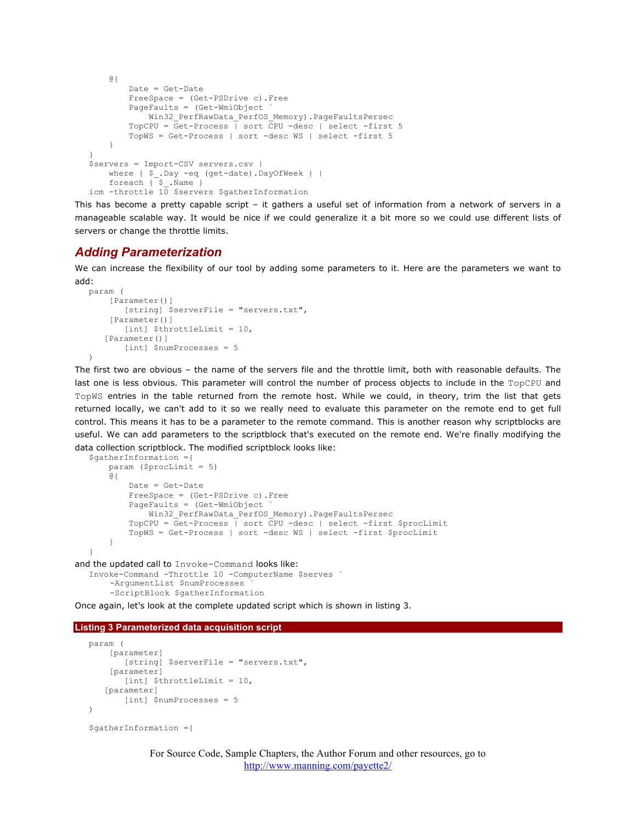```
 @{
         Date = Get-Date
         FreeSpace = (Get-PSDrive c).Free
         PageFaults = (Get-WmiObject `
             Win32_PerfRawData_PerfOS_Memory).PageFaultsPersec
         TopCPU = Get-Process | sort CPU -desc | select -first 5
         TopWS = Get-Process | sort -desc WS | select -first 5
     }
}
$servers = Import-CSV servers.csv |
   where { $_.Day -eq (get-date).DayOfWeek } |
     foreach { $_.Name }
icm -throttle 10 $servers $gatherInformation
```
This has become a pretty capable script – it gathers a useful set of information from a network of servers in a manageable scalable way. It would be nice if we could generalize it a bit more so we could use different lists of servers or change the throttle limits.

#### *Adding Parameterization*

We can increase the flexibility of our tool by adding some parameters to it. Here are the parameters we want to add:

```
param (
     [Parameter()]
        [string] $serverFile = "servers.txt",
     [Parameter()]
       [int] $throttleLimit = 10,
   [Parameter()]
        [int] $numProcesses = 5
)
```
The first two are obvious – the name of the servers file and the throttle limit, both with reasonable defaults. The last one is less obvious. This parameter will control the number of process objects to include in the TopCPU and TopWS entries in the table returned from the remote host. While we could, in theory, trim the list that gets returned locally, we can't add to it so we really need to evaluate this parameter on the remote end to get full control. This means it has to be a parameter to the remote command. This is another reason why scriptblocks are useful. We can add parameters to the scriptblock that's executed on the remote end. We're finally modifying the data collection scriptblock. The modified scriptblock looks like:

```
$gatherInformation ={
     param ($procLimit = 5)
     @{
         Date = Get-Date
         FreeSpace = (Get-PSDrive c).Free
         PageFaults = (Get-WmiObject `
            Win32_PerfRawData_PerfOS_Memory).PageFaultsPersec
         TopCPU = Get-Process | sort CPU -desc | select -first $procLimit
         TopWS = Get-Process | sort -desc WS | select -first $procLimit
     }
}
```
and the updated call to Invoke-Command looks like:

```
Invoke-Command -Throttle 10 -ComputerName $serves `
     -ArgumentList $numProcesses `
     -ScriptBlock $gatherInformation
```
Once again, let's look at the complete updated script which is shown in listing 3.

```
Listing 3 Parameterized data acquisition script
```

```
param (
     [parameter]
        [string] $serverFile = "servers.txt",
    [parameter]
       [int] $throttleLimit = 10,
   [parameter]
       [int] $numProcesses = 5
\lambda
```

```
$gatherInformation ={
```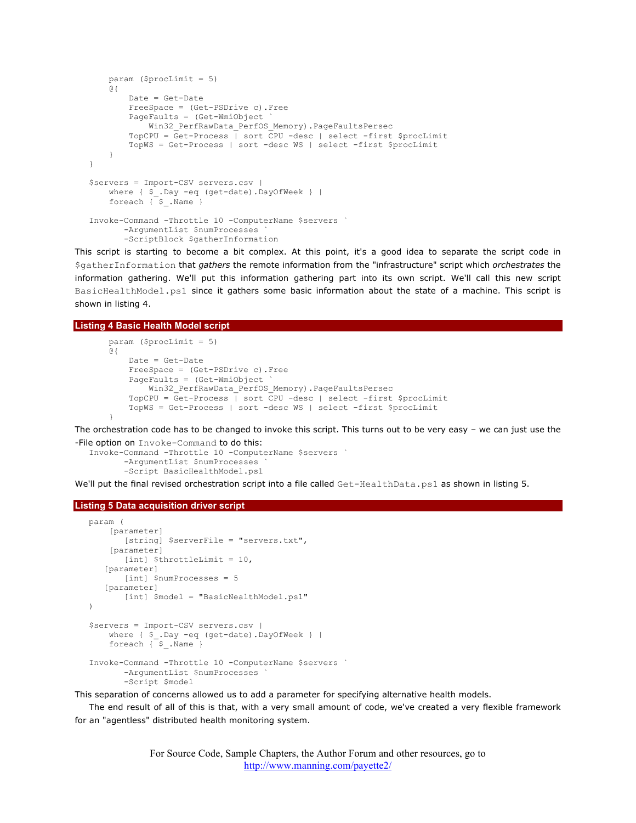```
 param ($procLimit = 5)
     @{
         Date = Get-Date
         FreeSpace = (Get-PSDrive c).Free
         PageFaults = (Get-WmiObject `
            Win32 PerfRawData PerfOS Memory).PageFaultsPersec
         TopCPU = Get-Process | sort CPU -desc | select -first $procLimit
         TopWS = Get-Process | sort -desc WS | select -first $procLimit
     }
}
$servers = Import-CSV servers.csv |
    where { $ . Day -eq (get-date). DayOfWeek } |
    foreach { $ .Name }
Invoke-Command -Throttle 10 -ComputerName $servers `
        -ArgumentList $numProcesses `
        -ScriptBlock $gatherInformation
```
This script is starting to become a bit complex. At this point, it's a good idea to separate the script code in \$gatherInformation that *gathers* the remote information from the "infrastructure" script which *orchestrates* the information gathering. We'll put this information gathering part into its own script. We'll call this new script BasicHealthModel.ps1 since it gathers some basic information about the state of a machine. This script is shown in listing 4.

#### **Listing 4 Basic Health Model script**

```
 param ($procLimit = 5)
    @{
         Date = Get-Date
         FreeSpace = (Get-PSDrive c).Free
         PageFaults = (Get-WmiObject `
             Win32_PerfRawData_PerfOS_Memory).PageFaultsPersec
        TopCPU = Get-Process \mid sort CPU -desc \mid select -first $procLimit
         TopWS = Get-Process | sort -desc WS | select -first $procLimit
 }
```
The orchestration code has to be changed to invoke this script. This turns out to be very easy – we can just use the -File option on Invoke-Command to do this:

```
Invoke-Command -Throttle 10 -ComputerName $servers `
        -ArgumentList $numProcesses `
        -Script BasicHealthModel.ps1
```
We'll put the final revised orchestration script into a file called Get-HealthData.ps1 as shown in listing 5.

#### **Listing 5 Data acquisition driver script**

```
param (
     [parameter]
        [string] $serverFile = "servers.txt",
     [parameter]
        [int] $throttleLimit = 10,
    [parameter]
        [int] $numProcesses = 5
   [parameter]
       [int] $model = "BasicNealthModel.ps1"
\lambda$servers = Import-CSV servers.csv |
     where { $_.Day -eq (get-date).DayOfWeek } |
     foreach { $_.Name }
Invoke-Command -Throttle 10 -ComputerName $servers `
        -ArgumentList $numProcesses `
        -Script $model
```
This separation of concerns allowed us to add a parameter for specifying alternative health models.

The end result of all of this is that, with a very small amount of code, we've created a very flexible framework for an "agentless" distributed health monitoring system.